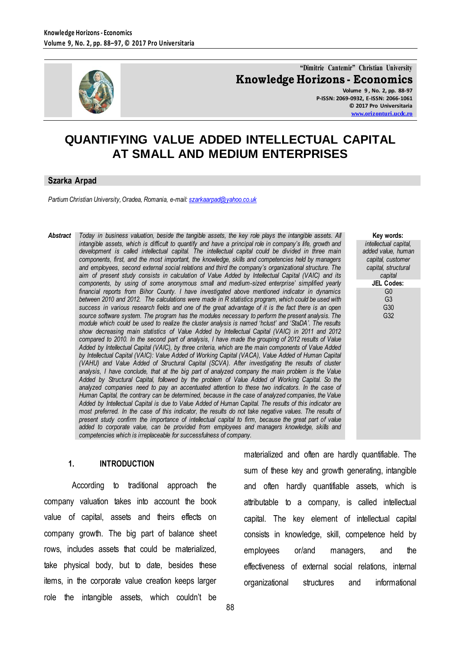

**"Dimitrie Cantemir" Christian University Knowledge Horizons - Economics Volume 9 , No. 2, pp. 88-97**

**P-ISSN: 2069-0932, E-ISSN: 2066-1061 © 2017 Pro Universitaria [www.orizonturi.ucdc.ro](http://www.orizonturi.ucdc.ro/)**

> **Key words:** *intellectual capital, added value, human capital, customer capital, structural capital* **JEL Codes:** G0 G3 G30 G32

# **QUANTIFYING VALUE ADDED INTELLECTUAL CAPITAL AT SMALL AND MEDIUM ENTERPRISES**

#### **Szarka Arpad**

*Partium Christian University, Oradea, Romania, e-mail[: szarkaarpad@yahoo.co.uk](mailto:szarkaarpad@yahoo.co.uk)*

*Abstract Today in business valuation, beside the tangible assets, the key role plays the intangible assets. All intangible assets, which is difficult to quantify and have a principal role in company's life, growth and*  development is called intellectual capital. The intellectual capital could be divided in three main *components, first, and the most important, the knowledge, skills and competencies held by managers and employees, second external social relations and third the company's organizational structure. The aim of present study consists in calculation of Value Added by Intellectual Capital (VAIC) and its components, by using of some anonymous small and medium-sized enterprise' simplified yearly financial reports from Bihor County. I have investigated above mentioned indicator in dynamics between 2010 and 2012. The calculations were made in R statistics program, which could be used with success in various research fields and one of the great advantage of it is the fact there is an open source software system. The program has the modules necessary to perform the present analysis. The module which could be used to realize the cluster analysis is named 'hclust' and 'StaDA'. The results show decreasing main statistics of Value Added by Intellectual Capital (VAIC) in 2011 and 2012 compared to 2010. In the second part of analysis, I have made the grouping of 2012 results of Value Added by Intellectual Capital (VAIC), by three criteria, which are the main components of Value Added by Intellectual Capital (VAIC): Value Added of Working Capital (VACA), Value Added of Human Capital (VAHU) and Value Added of Structural Capital (SCVA). After investigating the results of cluster analysis, I have conclude, that at the big part of analyzed company the main problem is the Value Added by Structural Capital, followed by the problem of Value Added of Working Capital. So the analyzed companies need to pay an accentuated attention to these two indicators. In the case of Human Capital, the contrary can be determined, because in the case of analyzed companies, the Value Added by Intellectual Capital is due to Value Added of Human Capital. The results of this indicator are most preferred. In the case of this indicator, the results do not take negative values. The results of present study confirm the importance of intellectual capital to firm, because the great part of value added to corporate value, can be provided from employees and managers knowledge, skills and competencies which is irreplaceable for successfulness of company.*

#### **1. INTRODUCTION**

According to traditional approach the company valuation takes into account the book value of capital, assets and theirs effects on company growth. The big part of balance sheet rows, includes assets that could be materialized, take physical body, but to date, besides these items, in the corporate value creation keeps larger role the intangible assets, which couldn't be

sum of these key and growth generating, intangible and often hardly quantifiable assets, which is attributable to a company, is called intellectual capital. The key element of intellectual capital consists in knowledge, skill, competence held by employees or/and managers, and the effectiveness of external social relations, internal organizational structures and informational

materialized and often are hardly quantifiable. The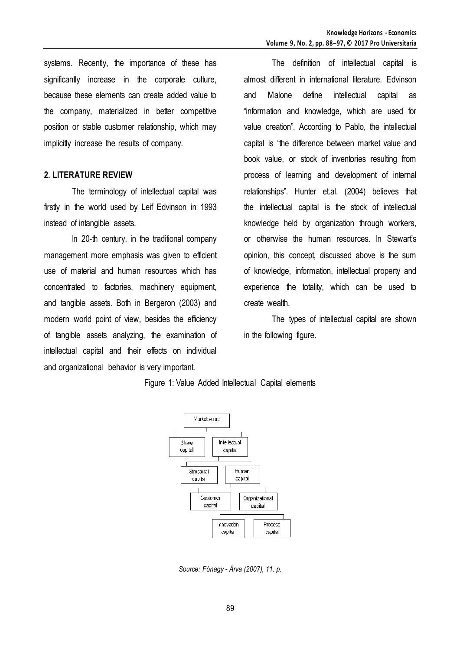systems. Recently, the importance of these has significantly increase in the corporate culture, because these elements can create added value to the company, materialized in better competitive position or stable customer relationship, which may implicitly increase the results of company.

# **2. LITERATURE REVIEW**

The terminology of intellectual capital was firstly in the world used by Leif Edvinson in 1993 instead of intangible assets.

In 20-th century, in the traditional company management more emphasis was given to efficient use of material and human resources which has concentrated to factories, machinery equipment, and tangible assets. Both in Bergeron (2003) and modern world point of view, besides the efficiency of tangible assets analyzing, the examination of intellectual capital and their effects on individual and organizational behavior is very important.

The definition of intellectual capital is almost different in international literature. Edvinson and Malone define intellectual capital as "information and knowledge, which are used for value creation". According to Pablo, the intellectual capital is "the difference between market value and book value, or stock of inventories resulting from process of learning and development of internal relationships". Hunter et.al. (2004) believes that the intellectual capital is the stock of intellectual knowledge held by organization through workers, or otherwise the human resources. In Stewart's opinion, this concept, discussed above is the sum of knowledge, information, intellectual property and experience the totality, which can be used to create wealth.

The types of intellectual capital are shown in the following figure.

Figure 1: Value Added Intellectual Capital elements



*Source: Fónagy - Árva (2007), 11. p.*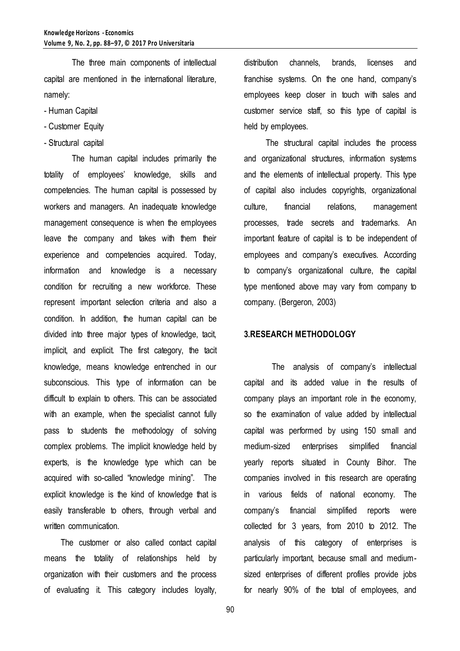The three main components of intellectual capital are mentioned in the international literature, namely:

- Human Capital
- Customer Equity
- Structural capital

The human capital includes primarily the totality of employees' knowledge, skills and competencies. The human capital is possessed by workers and managers. An inadequate knowledge management consequence is when the employees leave the company and takes with them their experience and competencies acquired. Today, information and knowledge is a necessary condition for recruiting a new workforce. These represent important selection criteria and also a condition. In addition, the human capital can be divided into three major types of knowledge, tacit, implicit, and explicit. The first category, the tacit knowledge, means knowledge entrenched in our subconscious. This type of information can be difficult to explain to others. This can be associated with an example, when the specialist cannot fully pass to students the methodology of solving complex problems. The implicit knowledge held by experts, is the knowledge type which can be acquired with so-called "knowledge mining". The explicit knowledge is the kind of knowledge that is easily transferable to others, through verbal and written communication.

The customer or also called contact capital means the totality of relationships held by organization with their customers and the process of evaluating it. This category includes loyalty,

distribution channels, brands, licenses and franchise systems. On the one hand, company's employees keep closer in touch with sales and customer service staff, so this type of capital is held by employees.

The structural capital includes the process and organizational structures, information systems and the elements of intellectual property. This type of capital also includes copyrights, organizational culture, financial relations, management processes, trade secrets and trademarks. An important feature of capital is to be independent of employees and company's executives. According to company's organizational culture, the capital type mentioned above may vary from company to company. (Bergeron, 2003)

# **3.RESEARCH METHODOLOGY**

The analysis of company's intellectual capital and its added value in the results of company plays an important role in the economy, so the examination of value added by intellectual capital was performed by using 150 small and medium-sized enterprises simplified financial yearly reports situated in County Bihor. The companies involved in this research are operating in various fields of national economy. The company's financial simplified reports were collected for 3 years, from 2010 to 2012. The analysis of this category of enterprises is particularly important, because small and mediumsized enterprises of different profiles provide jobs for nearly 90% of the total of employees, and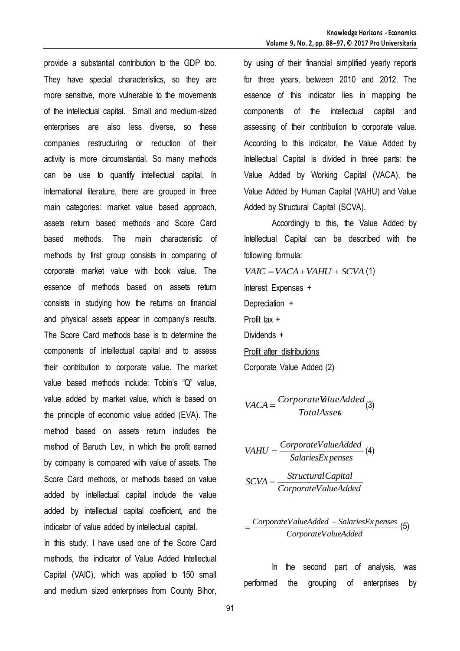#### **Knowledge Horizons - Economics Volume 9, No. 2, pp. 88–97, © 2017 Pro Universitaria**

provide a substantial contribution to the GDP too. They have special characteristics, so they are more sensitive, more vulnerable to the movements of the intellectual capital. Small and medium-sized enterprises are also less diverse, so these companies restructuring or reduction of their activity is more circumstantial. So many methods can be use to quantify intellectual capital. In international literature, there are grouped in three main categories: market value based approach, assets return based methods and Score Card based methods. The main characteristic of methods by first group consists in comparing of corporate market value with book value. The essence of methods based on assets return consists in studying how the returns on financial and physical assets appear in company's results. The Score Card methods base is to determine the components of intellectual capital and to assess their contribution to corporate value. The market value based methods include: Tobin's "Q" value, value added by market value, which is based on the principle of economic value added (EVA). The method based on assets return includes the method of Baruch Lev, in which the profit earned by company is compared with value of assets. The Score Card methods, or methods based on value added by intellectual capital include the value added by intellectual capital coefficient, and the indicator of value added by intellectual capital.

In this study, I have used one of the Score Card methods, the indicator of Value Added Intellectual Capital (VAIC), which was applied to 150 small and medium sized enterprises from County Bihor, by using of their financial simplified yearly reports for three years, between 2010 and 2012. The essence of this indicator lies in mapping the components of the intellectual capital and assessing of their contribution to corporate value. According to this indicator, the Value Added by Intellectual Capital is divided in three parts: the Value Added by Working Capital (VACA), the Value Added by Human Capital (VAHU) and Value Added by Structural Capital (SCVA).

Accordingly to this, the Value Added by Intellectual Capital can be described with the following formula:

 $VAIC = VACA + VAHU + SCVA$  (1)

Interest Expenses +

Depreciation +

Profit tax +

Dividends +

Profit after distributions

Corporate Value Added (2)

$$
VACA = \frac{Corporate\,W\nu EAdded}{TotalAsse\kappa}(3)
$$

$$
VAHU = \frac{CorporateValueA dded}{SalariesEx \, penses} \, (4)
$$

$$
SCVA = \frac{Structural Capital}{CorporateValueAdded}
$$

$$
=\frac{CorporateValue added - SalariesEx penses}{CorporateValueA dded} (5)
$$

In the second part of analysis, was performed the grouping of enterprises by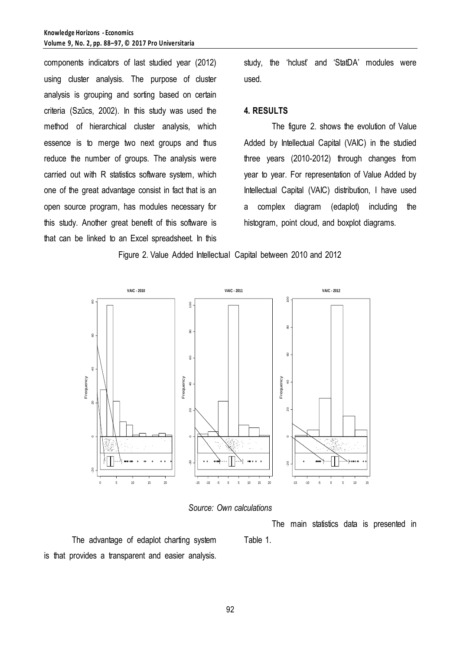components indicators of last studied year (2012) using cluster analysis. The purpose of cluster analysis is grouping and sorting based on certain criteria (Szűcs, 2002). In this study was used the method of hierarchical cluster analysis, which essence is to merge two next groups and thus reduce the number of groups. The analysis were carried out with R statistics software system, which one of the great advantage consist in fact that is an open source program, has modules necessary for this study. Another great benefit of this software is that can be linked to an Excel spreadsheet. In this

study, the 'hclust' and 'StatDA' modules were used.

# **4. RESULTS**

The figure 2. shows the evolution of Value Added by Intellectual Capital (VAIC) in the studied three years (2010-2012) through changes from year to year. For representation of Value Added by Intellectual Capital (VAIC) distribution, I have used a complex diagram (edaplot) including the histogram, point cloud, and boxplot diagrams.

Figure 2. Value Added Intellectual Capital between 2010 and 2012





The main statistics data is presented in Table 1.

The advantage of edaplot charting system is that provides a transparent and easier analysis.

92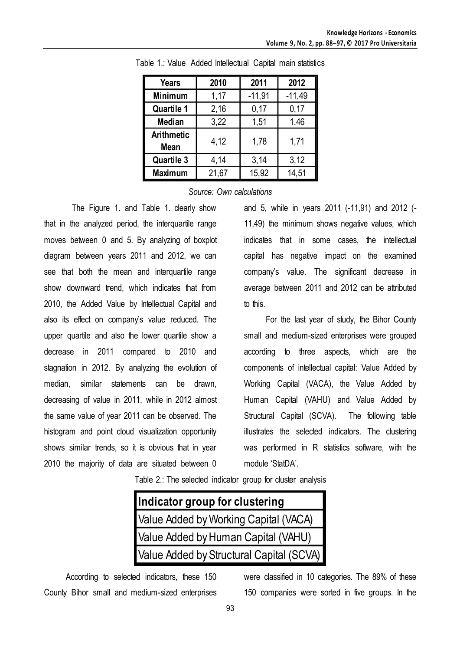| <b>Years</b>                     | 2010  | 2011     | 2012     |  |
|----------------------------------|-------|----------|----------|--|
| <b>Minimum</b>                   | 1,17  | $-11,91$ | $-11,49$ |  |
| <b>Quartile 1</b>                | 2,16  | 0,17     | 0,17     |  |
| <b>Median</b>                    | 3,22  | 1,51     | 1,46     |  |
| <b>Arithmetic</b><br><b>Mean</b> | 4,12  | 1,78     | 1,71     |  |
| <b>Quartile 3</b>                | 4,14  |          | 3,12     |  |
| <b>Maximum</b>                   | 21,67 | 15,92    | 14,51    |  |

Table 1.: Value Added Intellectual Capital main statistics

*Source: Own calculations*

The Figure 1. and Table 1. clearly show that in the analyzed period, the interquartile range moves between 0 and 5. By analyzing of boxplot diagram between years 2011 and 2012, we can see that both the mean and interquartile range show downward trend, which indicates that from 2010, the Added Value by Intellectual Capital and also its effect on company's value reduced. The upper quartile and also the lower quartile show a decrease in 2011 compared to 2010 and stagnation in 2012. By analyzing the evolution of median, similar statements can be drawn, decreasing of value in 2011, while in 2012 almost the same value of year 2011 can be observed. The histogram and point cloud visualization opportunity shows similar trends, so it is obvious that in year 2010 the majority of data are situated between 0

and 5, while in years 2011 (-11,91) and 2012 (- 11,49) the minimum shows negative values, which indicates that in some cases, the intellectual capital has negative impact on the examined company's value. The significant decrease in average between 2011 and 2012 can be attributed to this.

For the last year of study, the Bihor County small and medium-sized enterprises were grouped according to three aspects, which are the components of intellectual capital: Value Added by Working Capital (VACA), the Value Added by Human Capital (VAHU) and Value Added by Structural Capital (SCVA). The following table illustrates the selected indicators. The clustering was performed in R statistics software, with the module 'StatDA'.

Table 2.: The selected indicator group for cluster analysis

| Indicator group for clustering           |  |  |  |  |
|------------------------------------------|--|--|--|--|
| Value Added by Working Capital (VACA)    |  |  |  |  |
| Value Added by Human Capital (VAHU)      |  |  |  |  |
| Value Added by Structural Capital (SCVA) |  |  |  |  |

According to selected indicators, these 150 County Bihor small and medium-sized enterprises were classified in 10 categories. The 89% of these 150 companies were sorted in five groups. In the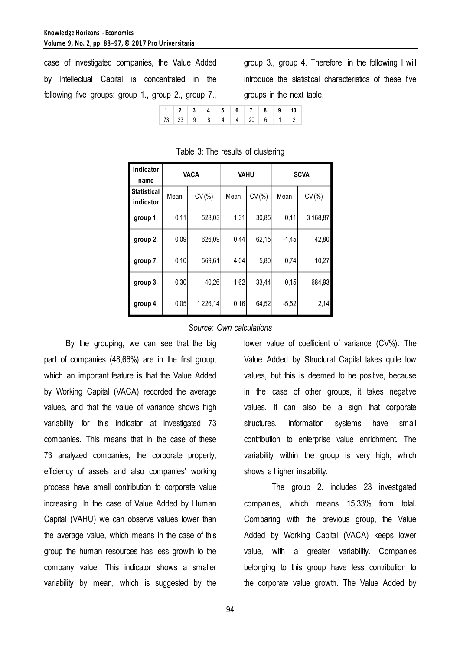case of investigated companies, the Value Added by Intellectual Capital is concentrated in the following five groups: group 1., group 2., group 7.,

group 3., group 4. Therefore, in the following I will introduce the statistical characteristics of these five groups in the next table.

|  |  |  | 1. 2. 3. 4. 5. 6. 7. 8. 9. 10. |  |  |
|--|--|--|--------------------------------|--|--|
|  |  |  | 73 23 9 8 4 4 20 6 1 2         |  |  |

| Indicator<br>name               | <b>VACA</b> |         | <b>VAHU</b> |        | <b>SCVA</b> |           |
|---------------------------------|-------------|---------|-------------|--------|-------------|-----------|
| <b>Statistical</b><br>indicator | Mean        | CV(% )  | Mean        | CV(% ) | Mean        | $CV(\% )$ |
| group 1.                        | 0,11        | 528,03  | 1,31        | 30,85  | 0,11        | 3 168,87  |
| group 2.                        | 0,09        | 626,09  | 0,44        | 62,15  | $-1,45$     | 42,80     |
| group 7.                        | 0,10        | 569,61  | 4,04        | 5,80   | 0,74        | 10,27     |
| group 3.                        | 0,30        | 40,26   | 1,62        | 33,44  | 0,15        | 684,93    |
| group 4.                        | 0,05        | 1226,14 | 0,16        | 64,52  | $-5,52$     | 2,14      |

Table 3: The results of clustering

### *Source: Own calculations*

By the grouping, we can see that the big part of companies (48,66%) are in the first group, which an important feature is that the Value Added by Working Capital (VACA) recorded the average values, and that the value of variance shows high variability for this indicator at investigated 73 companies. This means that in the case of these 73 analyzed companies, the corporate property, efficiency of assets and also companies' working process have small contribution to corporate value increasing. In the case of Value Added by Human Capital (VAHU) we can observe values lower than the average value, which means in the case of this group the human resources has less growth to the company value. This indicator shows a smaller variability by mean, which is suggested by the

lower value of coefficient of variance (CV%). The Value Added by Structural Capital takes quite low values, but this is deemed to be positive, because in the case of other groups, it takes negative values. It can also be a sign that corporate structures, information systems have small contribution to enterprise value enrichment. The variability within the group is very high, which shows a higher instability.

The group 2. includes 23 investigated companies, which means 15,33% from total. Comparing with the previous group, the Value Added by Working Capital (VACA) keeps lower value, with a greater variability. Companies belonging to this group have less contribution to the corporate value growth. The Value Added by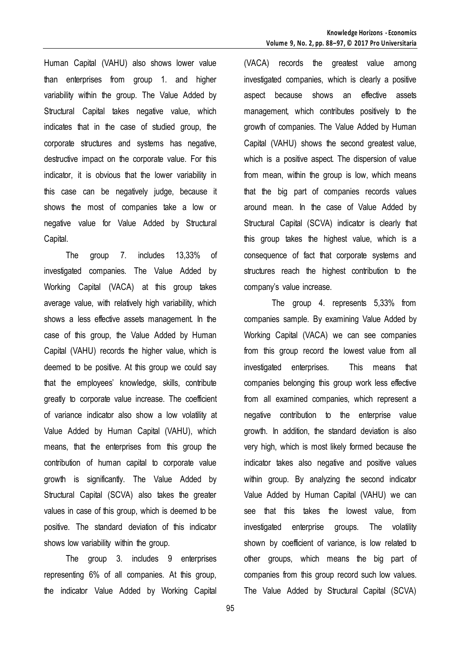Human Capital (VAHU) also shows lower value than enterprises from group 1. and higher variability within the group. The Value Added by Structural Capital takes negative value, which indicates that in the case of studied group, the corporate structures and systems has negative, destructive impact on the corporate value. For this indicator, it is obvious that the lower variability in this case can be negatively judge, because it shows the most of companies take a low or negative value for Value Added by Structural Capital.

The group 7. includes 13,33% of investigated companies. The Value Added by Working Capital (VACA) at this group takes average value, with relatively high variability, which shows a less effective assets management. In the case of this group, the Value Added by Human Capital (VAHU) records the higher value, which is deemed to be positive. At this group we could say that the employees' knowledge, skills, contribute greatly to corporate value increase. The coefficient of variance indicator also show a low volatility at Value Added by Human Capital (VAHU), which means, that the enterprises from this group the contribution of human capital to corporate value growth is significantly. The Value Added by Structural Capital (SCVA) also takes the greater values in case of this group, which is deemed to be positive. The standard deviation of this indicator shows low variability within the group.

The group 3. includes 9 enterprises representing 6% of all companies. At this group, the indicator Value Added by Working Capital (VACA) records the greatest value among investigated companies, which is clearly a positive aspect because shows an effective assets management, which contributes positively to the growth of companies. The Value Added by Human Capital (VAHU) shows the second greatest value, which is a positive aspect. The dispersion of value from mean, within the group is low, which means that the big part of companies records values around mean. In the case of Value Added by Structural Capital (SCVA) indicator is clearly that this group takes the highest value, which is a consequence of fact that corporate systems and structures reach the highest contribution to the company's value increase.

The group 4. represents 5,33% from companies sample. By examining Value Added by Working Capital (VACA) we can see companies from this group record the lowest value from all investigated enterprises. This means that companies belonging this group work less effective from all examined companies, which represent a negative contribution to the enterprise value growth. In addition, the standard deviation is also very high, which is most likely formed because the indicator takes also negative and positive values within group. By analyzing the second indicator Value Added by Human Capital (VAHU) we can see that this takes the lowest value, from investigated enterprise groups. The volatility shown by coefficient of variance, is low related to other groups, which means the big part of companies from this group record such low values. The Value Added by Structural Capital (SCVA)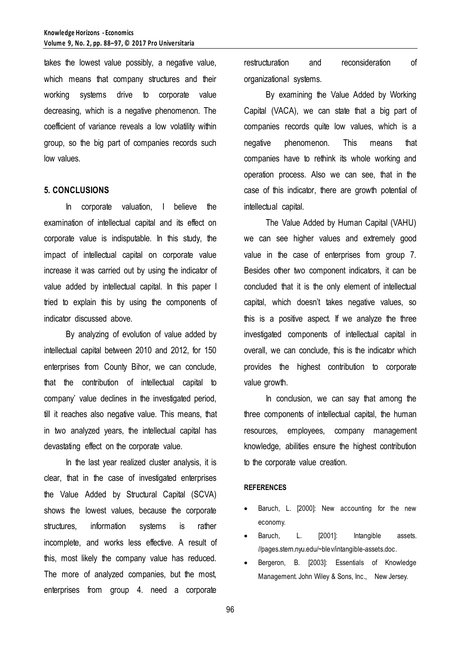takes the lowest value possibly, a negative value, which means that company structures and their working systems drive to corporate value decreasing, which is a negative phenomenon. The coefficient of variance reveals a low volatility within group, so the big part of companies records such low values.

#### **5. CONCLUSIONS**

In corporate valuation, I believe the examination of intellectual capital and its effect on corporate value is indisputable. In this study, the impact of intellectual capital on corporate value increase it was carried out by using the indicator of value added by intellectual capital. In this paper I tried to explain this by using the components of indicator discussed above.

By analyzing of evolution of value added by intellectual capital between 2010 and 2012, for 150 enterprises from County Bihor, we can conclude, that the contribution of intellectual capital to company' value declines in the investigated period, till it reaches also negative value. This means, that in two analyzed years, the intellectual capital has devastating effect on the corporate value.

In the last year realized cluster analysis, it is clear, that in the case of investigated enterprises the Value Added by Structural Capital (SCVA) shows the lowest values, because the corporate structures, information systems is rather incomplete, and works less effective. A result of this, most likely the company value has reduced. The more of analyzed companies, but the most, enterprises from group 4. need a corporate

restructuration and reconsideration of organizational systems.

By examining the Value Added by Working Capital (VACA), we can state that a big part of companies records quite low values, which is a negative phenomenon. This means that companies have to rethink its whole working and operation process. Also we can see, that in the case of this indicator, there are growth potential of intellectual capital.

The Value Added by Human Capital (VAHU) we can see higher values and extremely good value in the case of enterprises from group 7. Besides other two component indicators, it can be concluded that it is the only element of intellectual capital, which doesn't takes negative values, so this is a positive aspect. If we analyze the three investigated components of intellectual capital in overall, we can conclude, this is the indicator which provides the highest contribution to corporate value growth.

In conclusion, we can say that among the three components of intellectual capital, the human resources, employees, company management knowledge, abilities ensure the highest contribution to the corporate value creation.

#### **REFERENCES**

- Baruch, L. [2000]: New accounting for the new economy.
- Baruch, L. [2001]: Intangible assets. //pages.stern.nyu.edu/~blev/intangible-assets.doc.
- Bergeron, B. [2003]: Essentials of Knowledge Management. John Wiley & Sons, Inc., New Jersey.